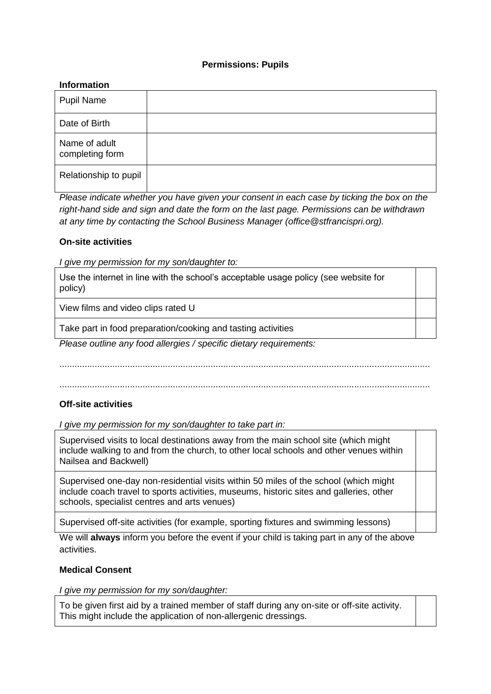### **Permissions: Pupils**

#### **Information**

| <b>Pupil Name</b>                |  |
|----------------------------------|--|
| Date of Birth                    |  |
| Name of adult<br>completing form |  |
| Relationship to pupil            |  |

*Please indicate whether you have given your consent in each case by ticking the box on the right-hand side and sign and date the form on the last page. Permissions can be withdrawn at any time by contacting the School Business Manager (office@stfrancispri.org).* 

### **On-site activities**

*I give my permission for my son/daughter to:*

Use the internet in line with the school's acceptable usage policy (see website for policy)

View films and video clips rated U

Take part in food preparation/cooking and tasting activities

*Please outline any food allergies / specific dietary requirements:*

...................................................................................................................................................

...................................................................................................................................................

## **Off-site activities**

*I give my permission for my son/daughter to take part in:* 

Supervised visits to local destinations away from the main school site (which might include walking to and from the church, to other local schools and other venues within Nailsea and Backwell)

Supervised one-day non-residential visits within 50 miles of the school (which might include coach travel to sports activities, museums, historic sites and galleries, other schools, specialist centres and arts venues)

Supervised off-site activities (for example, sporting fixtures and swimming lessons)

We will **always** inform you before the event if your child is taking part in any of the above activities.

## **Medical Consent**

*I give my permission for my son/daughter:* 

To be given first aid by a trained member of staff during any on-site or off-site activity. This might include the application of non-allergenic dressings.